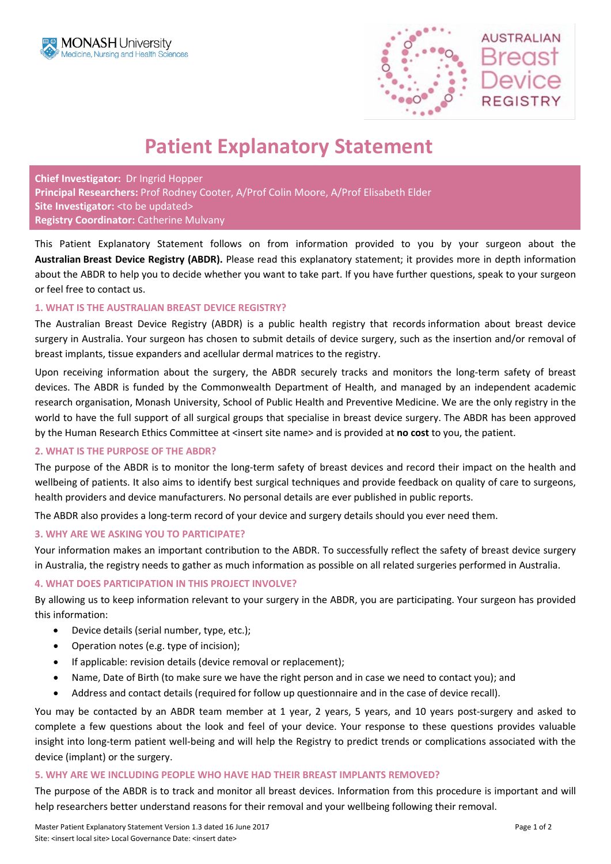



# **Patient Explanatory Statement**

**Chief Investigator:** Dr Ingrid Hopper **Principal Researchers:** Prof Rodney Cooter, A/Prof Colin Moore, A/Prof Elisabeth Elder Site Investigator: < to be updated> **Registry Coordinator:** Catherine Mulvany

This Patient Explanatory Statement follows on from information provided to you by your surgeon about the **Australian Breast Device Registry (ABDR).** Please read this explanatory statement; it provides more in depth information about the ABDR to help you to decide whether you want to take part. If you have further questions, speak to your surgeon or feel free to contact us.

### **1. WHAT IS THE AUSTRALIAN BREAST DEVICE REGISTRY?**

The Australian Breast Device Registry (ABDR) is a public health registry that records information about breast device surgery in Australia. Your surgeon has chosen to submit details of device surgery, such as the insertion and/or removal of breast implants, tissue expanders and acellular dermal matrices to the registry.

Upon receiving information about the surgery, the ABDR securely tracks and monitors the long-term safety of breast devices. The ABDR is funded by the Commonwealth Department of Health, and managed by an independent academic research organisation, Monash University, School of Public Health and Preventive Medicine. We are the only registry in the world to have the full support of all surgical groups that specialise in breast device surgery. The ABDR has been approved by the Human Research Ethics Committee at <insert site name> and is provided at **no cost** to you, the patient.

# **2. WHAT IS THE PURPOSE OF THE ABDR?**

The purpose of the ABDR is to monitor the long-term safety of breast devices and record their impact on the health and wellbeing of patients. It also aims to identify best surgical techniques and provide feedback on quality of care to surgeons, health providers and device manufacturers. No personal details are ever published in public reports.

The ABDR also provides a long-term record of your device and surgery details should you ever need them.

#### **3. WHY ARE WE ASKING YOU TO PARTICIPATE?**

Your information makes an important contribution to the ABDR. To successfully reflect the safety of breast device surgery in Australia, the registry needs to gather as much information as possible on all related surgeries performed in Australia.

# **4. WHAT DOES PARTICIPATION IN THIS PROJECT INVOLVE?**

By allowing us to keep information relevant to your surgery in the ABDR, you are participating. Your surgeon has provided this information:

- Device details (serial number, type, etc.);
- Operation notes (e.g. type of incision);
- If applicable: revision details (device removal or replacement);
- Name, Date of Birth (to make sure we have the right person and in case we need to contact you); and
- Address and contact details (required for follow up questionnaire and in the case of device recall).

You may be contacted by an ABDR team member at 1 year, 2 years, 5 years, and 10 years post-surgery and asked to complete a few questions about the look and feel of your device. Your response to these questions provides valuable insight into long-term patient well-being and will help the Registry to predict trends or complications associated with the device (implant) or the surgery.

# **5. WHY ARE WE INCLUDING PEOPLE WHO HAVE HAD THEIR BREAST IMPLANTS REMOVED?**

The purpose of the ABDR is to track and monitor all breast devices. Information from this procedure is important and will help researchers better understand reasons for their removal and your wellbeing following their removal.